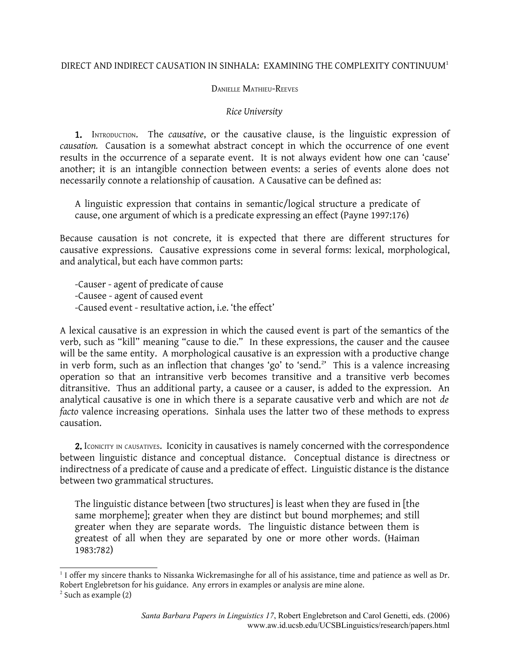## DIRECT AND INDIRECT CAUSATION IN SINHALA: EXAMINING THE COMPLEXITY CONTINUUM[1](#page-0-0)

## DANIELLE MATHIEU-REEVES

## *Rice University*

1. INTRODUCTION. The *causative*, or the causative clause, is the linguistic expression of *causation.* Causation is a somewhat abstract concept in which the occurrence of one event results in the occurrence of a separate event. It is not always evident how one can 'cause' another; it is an intangible connection between events: a series of events alone does not necessarily connote a relationship of causation. A Causative can be defined as:

A linguistic expression that contains in semantic/logical structure a predicate of cause, one argument of which is a predicate expressing an effect (Payne 1997:176)

Because causation is not concrete, it is expected that there are different structures for causative expressions. Causative expressions come in several forms: lexical, morphological, and analytical, but each have common parts:

-Causer - agent of predicate of cause -Causee - agent of caused event -Caused event - resultative action, i.e. 'the effect'

A lexical causative is an expression in which the caused event is part of the semantics of the verb, such as "kill" meaning "cause to die." In these expressions, the causer and the causee will be the same entity. A morphological causative is an expression with a productive change in verb form, such as an inflection that changes 'go' to 'send. [2](#page-0-1) ' This is a valence increasing operation so that an intransitive verb becomes transitive and a transitive verb becomes ditransitive. Thus an additional party, a causee or a causer, is added to the expression. An analytical causative is one in which there is a separate causative verb and which are not *de facto* valence increasing operations. Sinhala uses the latter two of these methods to express causation.

2. ICONICITY IN CAUSATIVES. ICONICIty in causatives is namely concerned with the correspondence between linguistic distance and conceptual distance. Conceptual distance is directness or indirectness of a predicate of cause and a predicate of effect. Linguistic distance is the distance between two grammatical structures.

The linguistic distance between [two structures] is least when they are fused in [the same morpheme]; greater when they are distinct but bound morphemes; and still greater when they are separate words. The linguistic distance between them is greatest of all when they are separated by one or more other words. (Haiman 1983:782)

<span id="page-0-0"></span> $^1$  I offer my sincere thanks to Nissanka Wickremasinghe for all of his assistance, time and patience as well as Dr. Robert Englebretson for his guidance. Any errors in examples or analysis are mine alone.

<span id="page-0-1"></span><sup>2</sup> Such as example (2)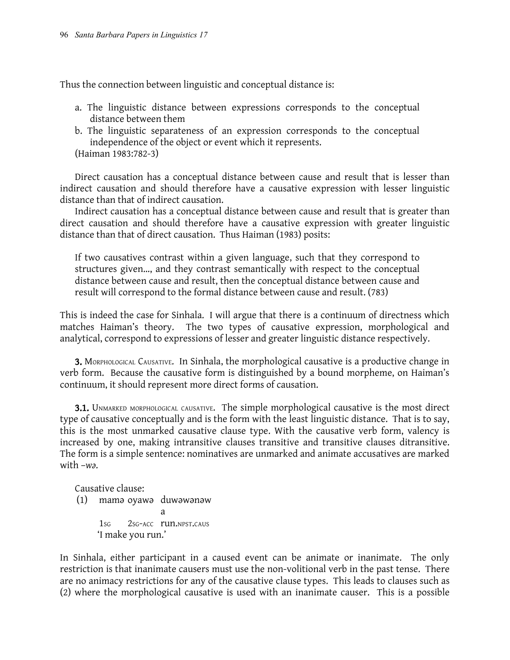Thus the connection between linguistic and conceptual distance is:

- a. The linguistic distance between expressions corresponds to the conceptual distance between them
- b. The linguistic separateness of an expression corresponds to the conceptual independence of the object or event which it represents. (Haiman 1983:782-3)

Direct causation has a conceptual distance between cause and result that is lesser than indirect causation and should therefore have a causative expression with lesser linguistic distance than that of indirect causation.

Indirect causation has a conceptual distance between cause and result that is greater than direct causation and should therefore have a causative expression with greater linguistic distance than that of direct causation. Thus Haiman (1983) posits:

If two causatives contrast within a given language, such that they correspond to structures given…, and they contrast semantically with respect to the conceptual distance between cause and result, then the conceptual distance between cause and result will correspond to the formal distance between cause and result. (783)

This is indeed the case for Sinhala. I will argue that there is a continuum of directness which matches Haiman's theory. The two types of causative expression, morphological and analytical, correspond to expressions of lesser and greater linguistic distance respectively.

3. MORPHOLOGICAL CAUSATIVE. In Sinhala, the morphological causative is a productive change in verb form. Because the causative form is distinguished by a bound morpheme, on Haiman's continuum, it should represent more direct forms of causation.

3.1. UNMARKED MORPHOLOGICAL CAUSATIVE. The simple morphological causative is the most direct type of causative conceptually and is the form with the least linguistic distance. That is to say, this is the most unmarked causative clause type. With the causative verb form, valency is increased by one, making intransitive clauses transitive and transitive clauses ditransitive. The form is a simple sentence: nominatives are unmarked and animate accusatives are marked with –*wǝ*.

Causative clause:

(1) mamǝ oyawǝ duwǝwǝnǝw a 1sg 2sg-acc run.NPST.CAUS 'I make you run.'

In Sinhala, either participant in a caused event can be animate or inanimate. The only restriction is that inanimate causers must use the non-volitional verb in the past tense. There are no animacy restrictions for any of the causative clause types. This leads to clauses such as (2) where the morphological causative is used with an inanimate causer. This is a possible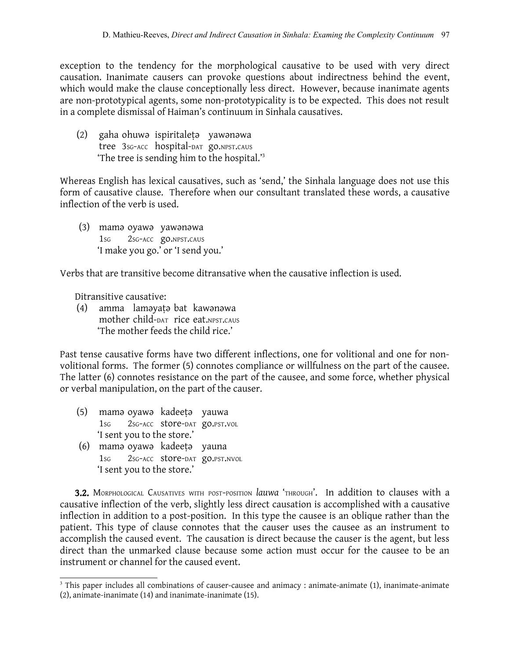exception to the tendency for the morphological causative to be used with very direct causation. Inanimate causers can provoke questions about indirectness behind the event, which would make the clause conceptionally less direct. However, because inanimate agents are non-prototypical agents, some non-prototypicality is to be expected. This does not result in a complete dismissal of Haiman's continuum in Sinhala causatives.

(2) gaha ohuwǝ ispiritaleṭǝ yawǝnǝwa tree 3SG-ACC hospital-DAT go.NPST.CAUS 'The tree is sending him to the hospital.'[3](#page-2-0)

Whereas English has lexical causatives, such as 'send,' the Sinhala language does not use this form of causative clause. Therefore when our consultant translated these words, a causative inflection of the verb is used.

(3) mamǝ oyawǝ yawǝnǝwa 1SG 2SG-ACC go.NPST.CAUS 'I make you go.' or 'I send you.'

Verbs that are transitive become ditransative when the causative inflection is used.

Ditransitive causative:

(4) amma lamǝyaṭǝ bat kawǝnǝwa mother child-DAT rice eat.NPST.CAUS 'The mother feeds the child rice.'

Past tense causative forms have two different inflections, one for volitional and one for nonvolitional forms. The former (5) connotes compliance or willfulness on the part of the causee. The latter (6) connotes resistance on the part of the causee, and some force, whether physical or verbal manipulation, on the part of the causer.

- (5) mamǝ oyawǝ kadeeṭǝ yauwa 1SG 2SG-ACC store-DAT go.PST.VOL 'I sent you to the store.'
- (6) mamǝ oyawǝ kadeeṭǝ yauna 1SG 2SG-ACC store-DAT go.PST.NVOL 'I sent you to the store.'

3.2. MORPHOLOGICAL CAUSATIVES WITH POST-POSITION *lauwa* 'THROUGH'. In addition to clauses with a causative inflection of the verb, slightly less direct causation is accomplished with a causative inflection in addition to a post-position. In this type the causee is an oblique rather than the patient. This type of clause connotes that the causer uses the causee as an instrument to accomplish the caused event. The causation is direct because the causer is the agent, but less direct than the unmarked clause because some action must occur for the causee to be an instrument or channel for the caused event.

<span id="page-2-0"></span> $3$  This paper includes all combinations of causer-causee and animacy : animate-animate (1), inanimate-animate (2), animate-inanimate (14) and inanimate-inanimate (15).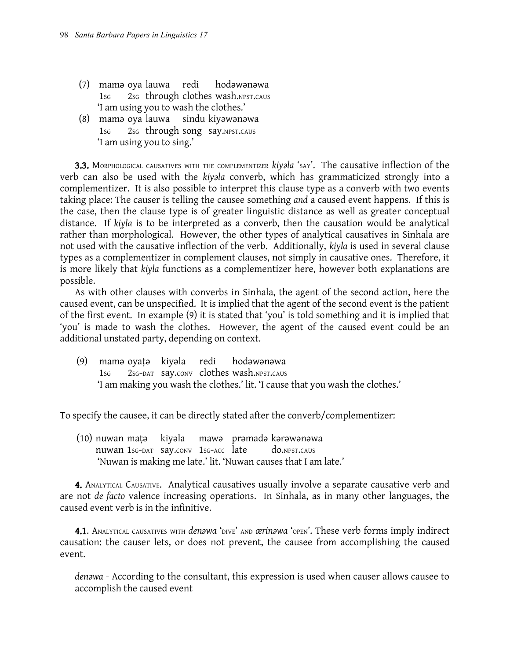- (7) mamǝ oya lauwa redi hodǝwǝnǝwa 1sG 2sG through clothes wash.NPST.CAUS 'I am using you to wash the clothes.'
- (8) mamǝ oya lauwa sindu kiyǝwǝnǝwa 1SG 2SG through song say.NPST.CAUS 'I am using you to sing.'

3.3. MORPHOLOGICAL CAUSATIVES WITH THE COMPLEMENTIZER *kiyǝla* 'SAY'. The causative inflection of the verb can also be used with the *kiyəla* converb, which has grammaticized strongly into a complementizer. It is also possible to interpret this clause type as a converb with two events taking place: The causer is telling the causee something *and* a caused event happens. If this is the case, then the clause type is of greater linguistic distance as well as greater conceptual distance. If *kiy̥la* is to be interpreted as a converb, then the causation would be analytical rather than morphological. However, the other types of analytical causatives in Sinhala are not used with the causative inflection of the verb. Additionally, *kiy̥la* is used in several clause types as a complementizer in complement clauses, not simply in causative ones. Therefore, it is more likely that *kiy̥la* functions as a complementizer here, however both explanations are possible.

As with other clauses with converbs in Sinhala, the agent of the second action, here the caused event, can be unspecified. It is implied that the agent of the second event is the patient of the first event. In example (9) it is stated that 'you' is told something and it is implied that 'you' is made to wash the clothes. However, the agent of the caused event could be an additional unstated party, depending on context.

(9) mamǝ oyaṭǝ kiyǝla redi hodǝwǝnǝwa 1SG 2SG-DAT say.CONV clothes wash.NPST.CAUS 'I am making you wash the clothes.' lit. 'I cause that you wash the clothes.'

To specify the causee, it can be directly stated after the converb/complementizer:

(10) nuwan maṭǝ kiyǝla mawǝ prǝmadǝ kǝrǝwǝnǝwa nuwan 1SG-DAT say.CONV 1SG-ACC late do.NPST.CAUS 'Nuwan is making me late.' lit. 'Nuwan causes that I am late.'

**4.** ANALYTICAL CAUSATIVE. Analytical causatives usually involve a separate causative verb and are not *de facto* valence increasing operations. In Sinhala, as in many other languages, the caused event verb is in the infinitive.

**4.1.** ANALYTICAL CAUSATIVES WITH *denawa* 'DIVE' AND *ærinawa* 'OPEN'. These verb forms imply indirect causation: the causer lets, or does not prevent, the causee from accomplishing the caused event.

*denawa* - According to the consultant, this expression is used when causer allows causee to accomplish the caused event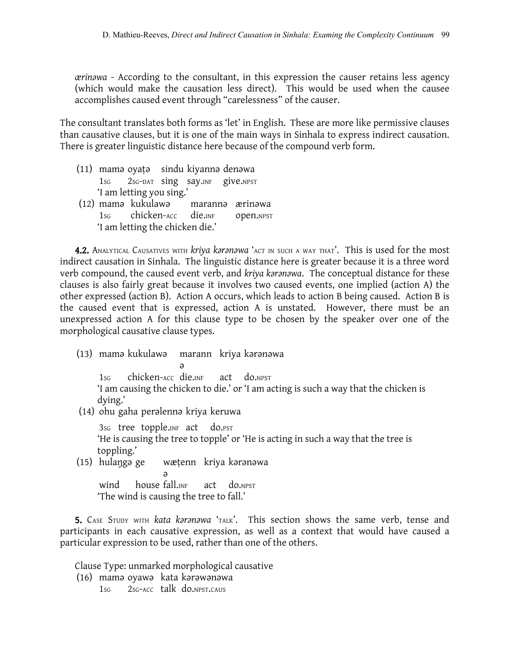*ærinawa* - According to the consultant, in this expression the causer retains less agency (which would make the causation less direct). This would be used when the causee accomplishes caused event through "carelessness" of the causer.

The consultant translates both forms as 'let' in English. These are more like permissive clauses than causative clauses, but it is one of the main ways in Sinhala to express indirect causation. There is greater linguistic distance here because of the compound verb form.

- (11) mamǝ oyaṭǝ sindu kiyannǝ denǝwa 1SG 2SG-DAT sing say.INF give.NPST 'I am letting you sing.'<br>(12) mama kukulawa
- marannə ærinəwa 1SG chicken-ACC die.INF open.NPST 'I am letting the chicken die.'

4.2. ANALYTICAL CAUSATIVES WITH *kriya karanawa* 'ACT IN SUCH A WAY THAT'. This is used for the most indirect causation in Sinhala. The linguistic distance here is greater because it is a three word verb compound, the caused event verb, and *kriya karanawa*. The conceptual distance for these clauses is also fairly great because it involves two caused events, one implied (action A) the other expressed (action B). Action A occurs, which leads to action B being caused. Action B is the caused event that is expressed, action A is unstated. However, there must be an unexpressed action A for this clause type to be chosen by the speaker over one of the morphological causative clause types.

- (13) mama kukulawa ǝ marann kriya kərənəwa 1SG chicken-ACC die.INF act do.NPST 'I am causing the chicken to die.' or 'I am acting is such a way that the chicken is dying.'
- (14) ohu gaha perǝlennǝ kriya keruwa

3SG tree topple.INF act do.PST 'He is causing the tree to topple' or 'He is acting in such a way that the tree is toppling.'

 $(15)$  hulanga ge ǝ wætenn kriya karanawa

wind house fall.INF act do.NPST 'The wind is causing the tree to fall.'

5. CASE STUDY WITH *kata karanawa* 'TALK'. This section shows the same verb, tense and participants in each causative expression, as well as a context that would have caused a particular expression to be used, rather than one of the others.

Clause Type: unmarked morphological causative (16) mamǝ oyawǝ kata kǝrǝwǝnǝwa 1SG 2SG-ACC talk do.NPST.CAUS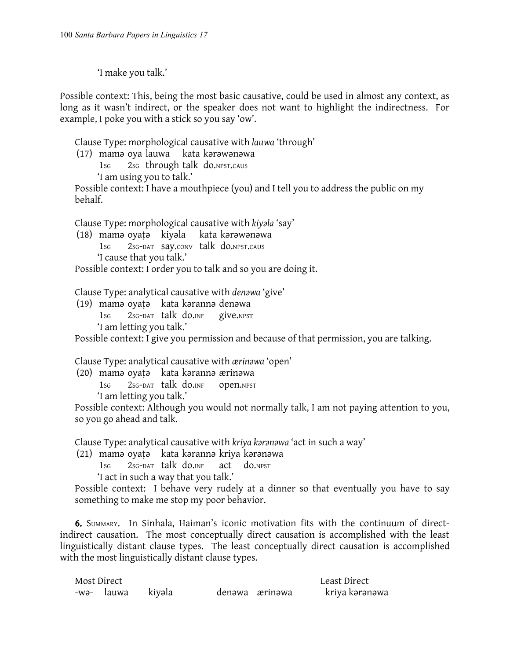'I make you talk.'

Possible context: This, being the most basic causative, could be used in almost any context, as long as it wasn't indirect, or the speaker does not want to highlight the indirectness. For example, I poke you with a stick so you say 'ow'.

Clause Type: morphological causative with *lauwa* 'through'

(17) mama oya lauwa kata karawanawa

1sg 2sg through talk do.NPST.CAUS

'I am using you to talk.'

Possible context: I have a mouthpiece (you) and I tell you to address the public on my behalf.

Clause Type: morphological causative with *kiyala* 'say'

(18) mamǝ oyaṭǝ kiyǝla kata kǝrǝwǝnǝwa 1SG 2SG-DAT say.CONV talk do.NPST.CAUS 'I cause that you talk.'

Possible context: I order you to talk and so you are doing it.

Clause Type: analytical causative with *denawa* 'give'

(19) mamǝ oyaṭǝ kata kǝrannǝ denǝwa 1SG 2SG-DAT talk do.INF give.NPST 'I am letting you talk.'

Possible context: I give you permission and because of that permission, you are talking.

Clause Type: analytical causative with *ærinawa* 'open'

(20) mamǝ oyaṭǝ kata kǝrannǝ ærinǝwa

1SG 2SG-DAT talk do.INF open.NPST

'I am letting you talk.'

Possible context: Although you would not normally talk, I am not paying attention to you, so you go ahead and talk.

Clause Type: analytical causative with *kriya karanawa* 'act in such a way'

(21) mamǝ oyaṭǝ kata kǝrannǝ kriya kǝrǝnǝwa

1SG 2SG-DAT talk do.INF act do.NPST

'I act in such a way that you talk.'

Possible context: I behave very rudely at a dinner so that eventually you have to say something to make me stop my poor behavior.

6. SUMMARY. In Sinhala, Haiman's iconic motivation fits with the continuum of directindirect causation. The most conceptually direct causation is accomplished with the least linguistically distant clause types. The least conceptually direct causation is accomplished with the most linguistically distant clause types.

| Most Direct |  |                   |  |                | Least Direct   |
|-------------|--|-------------------|--|----------------|----------------|
|             |  | -wə- lauwa kiyəla |  | denəwa ærinəwa | kriya kərənəwa |